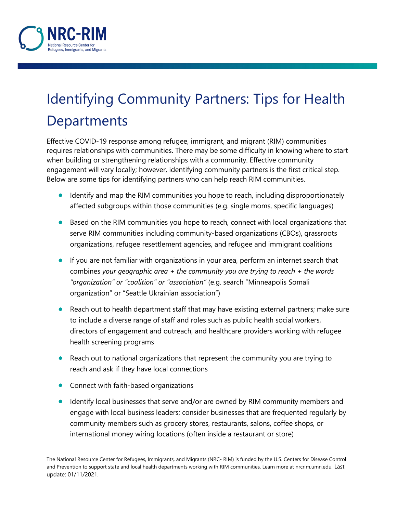

## Identifying Community Partners: Tips for Health **Departments**

Effective COVID-19 response among refugee, immigrant, and migrant (RIM) communities requires relationships with communities. There may be some difficulty in knowing where to start when building or strengthening relationships with a community. Effective community engagement will vary locally; however, identifying community partners is the first critical step. Below are some tips for identifying partners who can help reach RIM communities.

- Identify and map the RIM communities you hope to reach, including disproportionately affected subgroups within those communities (e.g. single moms, specific languages)
- Based on the RIM communities you hope to reach, connect with local organizations that serve RIM communities including community-based organizations (CBOs), grassroots organizations, refugee resettlement agencies, and refugee and immigrant coalitions
- If you are not familiar with organizations in your area, perform an internet search that combines *your geographic area* + *the community you are trying to reach* + *the words "organization" or "coalition" or "association"* (e.g. search "Minneapolis Somali organization" or "Seattle Ukrainian association")
- Reach out to health department staff that may have existing external partners; make sure to include a diverse range of staff and roles such as public health social workers, directors of engagement and outreach, and healthcare providers working with refugee health screening programs
- Reach out to national organizations that represent the community you are trying to reach and ask if they have local connections
- Connect with faith-based organizations
- Identify local businesses that serve and/or are owned by RIM community members and engage with local business leaders; consider businesses that are frequented regularly by community members such as grocery stores, restaurants, salons, coffee shops, or international money wiring locations (often inside a restaurant or store)

The National Resource Center for Refugees, Immigrants, and Migrants (NRC- RIM) is funded by the U.S. Centers for Disease Control and Prevention to support state and local health departments working with RIM communities. Learn more at nrcrim.umn.edu. Last update: 01/11/2021.